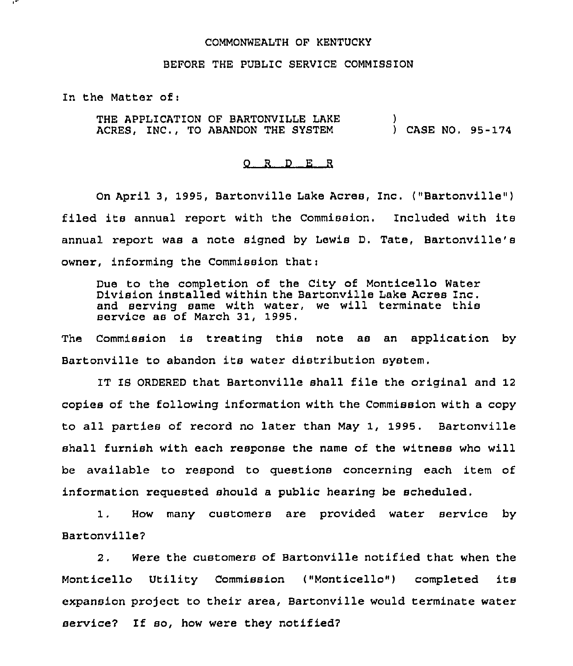## COMMONWEALTH OF KENTUCKY

## BEFORE THE PUBLIC SERVICE COMMISSION

In the Matter of:

THE APPLICATION OF BARTONVILLE LAKE ACRES, INC., TO ABANDON THE SYSTEM ) ) CASE NO. 95-174

## 0 <sup>R</sup> <sup>D</sup> E <sup>R</sup>

On April 3, 1995, Bartonville Lake Acres, Inc. ("Bartonville") filed its annual report with the Commission. Included with its annual report was a note signed by Lewis D. Tate, Bartonville's owner, informing the Commission that:

Due to the completion of the City of Monticello Water Division installed within the Bartonville Lake Acres Inc. and serving same with water, we will terminate this service as of March 31, 1995.

The Commission is treating this note as an application by Bartonville to abandon its water distribution system.

IT IS ORDERED that Bartonville shall file the original and 12 copies of the following information with the Commission with a copy to all parties of record no later than May 1, 1995. Bartonville shall furnish with each response the name of the witness who will be available to respond to questions concerning each item of information requested should a public hearing be scheduled.

1. How many customers are provided water service by Bartonville7

2. Were the customers of Bartonville notified that when the Monticello Utility Commission ("Monticello") completed its expansion project to their area, Bartonville would terminate water service7 If so, how were they notified7